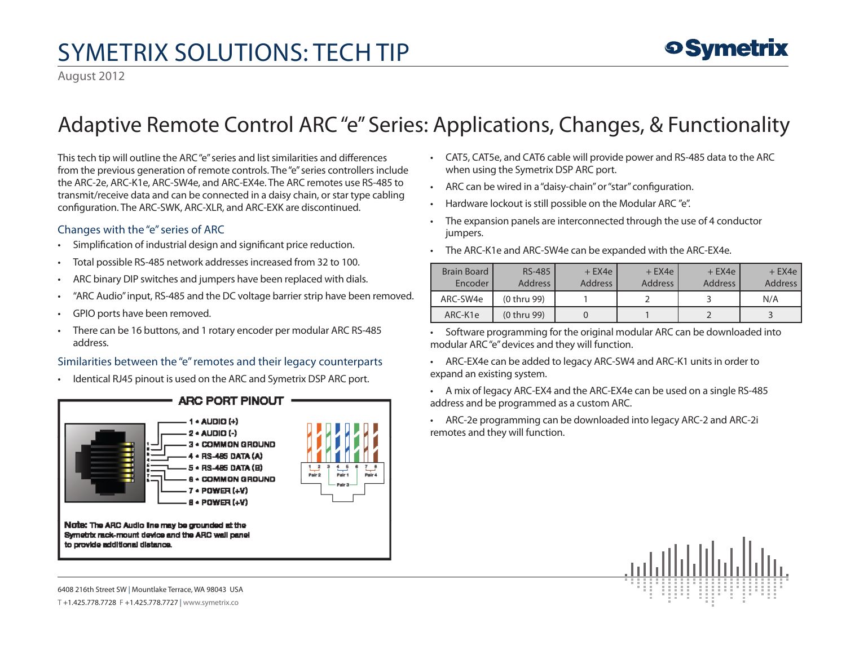## SymETRIX Solutions: Tech Tip

### Adaptive Remote Control ARC "e" Series: Applications, Changes, & Functionality

This tech tip will outline the ARC "e" series and list similarities and differences from the previous generation of remote controls. The "e" series controllers include the ARC-2e, ARC-K1e, ARC-SW4e, and ARC-EX4e. The ARC remotes use RS-485 to transmit/receive data and can be connected in a daisy chain, or star type cabling configuration. The ARC-SWK, ARC-XLR, and ARC-EXK are discontinued.

### Changes with the "e" series of ARC

- Simplification of industrial design and significant price reduction.
- Total possible RS-485 network addresses increased from 32 to 100.
- ARC binary DIP switches and jumpers have been replaced with dials.
- "ARC Audio" input, RS-485 and the DC voltage barrier strip have been removed.
- GPIO ports have been removed.
- There can be 16 buttons, and 1 rotary encoder per modular ARC RS-485 address.

#### Similarities between the "e" remotes and their legacy counterparts

• Identical RJ45 pinout is used on the ARC and Symetrix DSP ARC port.



- • CAT5, CAT5e, and CAT6 cable will provide power and RS-485 data to the ARC when using the Symetrix DSP ARC port.
- ARC can be wired in a "daisy-chain" or "star" configuration.
- Hardware lockout is still possible on the Modular ARC "e".
- • The expansion panels are interconnected through the use of 4 conductor jumpers.
- The ARC-K1e and ARC-SW4e can be expanded with the ARC-EX4e.

| <b>Brain Board</b><br>Encoder | <b>RS-485</b><br><b>Address</b> | $+$ EX4e<br><b>Address</b> | $+$ EX4e<br><b>Address</b> | $+$ EX4e<br><b>Address</b> | $+$ EX4e<br><b>Address</b> |
|-------------------------------|---------------------------------|----------------------------|----------------------------|----------------------------|----------------------------|
| ARC-SW4e                      | (0 thru 99)                     |                            |                            |                            | N/A                        |
| ARC-K1e                       | (0 thru 99)                     |                            |                            |                            |                            |

• Software programming for the original modular ARC can be downloaded into modular ARC "e" devices and they will function.

• ARC-EX4e can be added to legacy ARC-SW4 and ARC-K1 units in order to expand an existing system.

- • A mix of legacy ARC-EX4 and the ARC-EX4e can be used on a single RS-485 address and be programmed as a custom ARC.
- • ARC-2e programming can be downloaded into legacy ARC-2 and ARC-2i remotes and they will function.



**9 Symetrix** 

6408 216th Street SW | Mountlake Terrace, WA 98043 USA T +1.425.778.7728 F +1.425.778.7727 | www.symetrix.co